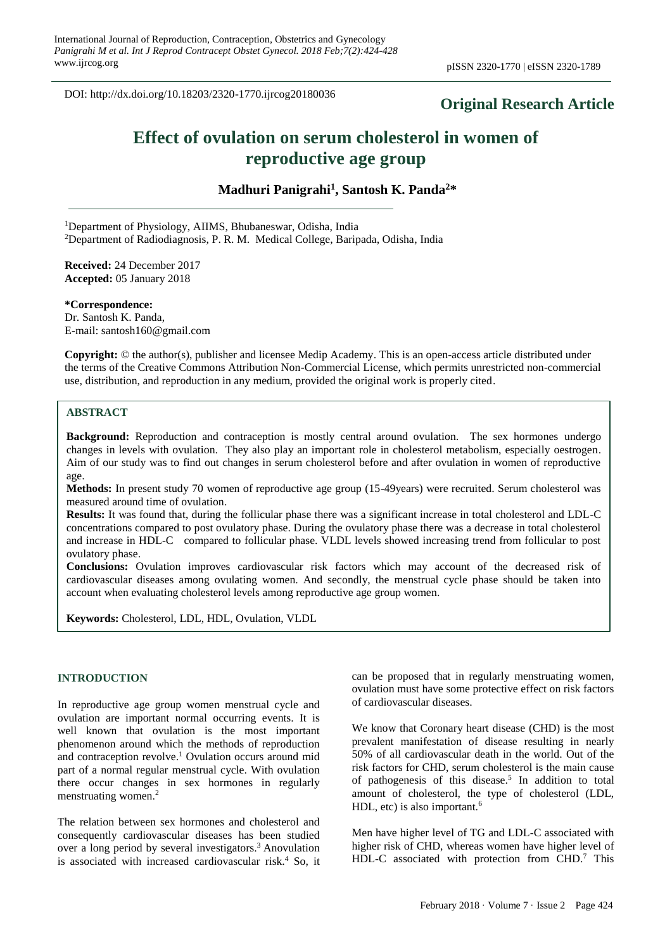DOI: http://dx.doi.org/10.18203/2320-1770.ijrcog20180036

# **Original Research Article**

# **Effect of ovulation on serum cholesterol in women of reproductive age group**

**Madhuri Panigrahi<sup>1</sup> , Santosh K. Panda<sup>2</sup>\***

<sup>1</sup>Department of Physiology, AIIMS, Bhubaneswar, Odisha, India <sup>2</sup>Department of Radiodiagnosis, P. R. M. Medical College, Baripada, Odisha, India

**Received:** 24 December 2017 **Accepted:** 05 January 2018

**\*Correspondence:** Dr. Santosh K. Panda, E-mail: santosh160@gmail.com

**Copyright:** © the author(s), publisher and licensee Medip Academy. This is an open-access article distributed under the terms of the Creative Commons Attribution Non-Commercial License, which permits unrestricted non-commercial use, distribution, and reproduction in any medium, provided the original work is properly cited.

# **ABSTRACT**

**Background:** Reproduction and contraception is mostly central around ovulation. The sex hormones undergo changes in levels with ovulation. They also play an important role in cholesterol metabolism, especially oestrogen. Aim of our study was to find out changes in serum cholesterol before and after ovulation in women of reproductive age.

**Methods:** In present study 70 women of reproductive age group (15-49years) were recruited. Serum cholesterol was measured around time of ovulation.

**Results:** It was found that, during the follicular phase there was a significant increase in total cholesterol and LDL-C concentrations compared to post ovulatory phase. During the ovulatory phase there was a decrease in total cholesterol and increase in HDL-C compared to follicular phase. VLDL levels showed increasing trend from follicular to post ovulatory phase.

**Conclusions:** Ovulation improves cardiovascular risk factors which may account of the decreased risk of cardiovascular diseases among ovulating women. And secondly, the menstrual cycle phase should be taken into account when evaluating cholesterol levels among reproductive age group women.

**Keywords:** Cholesterol, LDL, HDL, Ovulation, VLDL

# **INTRODUCTION**

In reproductive age group women menstrual cycle and ovulation are important normal occurring events. It is well known that ovulation is the most important phenomenon around which the methods of reproduction and contraception revolve. <sup>1</sup> Ovulation occurs around mid part of a normal regular menstrual cycle. With ovulation there occur changes in sex hormones in regularly menstruating women. 2

The relation between sex hormones and cholesterol and consequently cardiovascular diseases has been studied over a long period by several investigators. <sup>3</sup> Anovulation is associated with increased cardiovascular risk. <sup>4</sup> So, it

can be proposed that in regularly menstruating women, ovulation must have some protective effect on risk factors of cardiovascular diseases.

We know that Coronary heart disease (CHD) is the most prevalent manifestation of disease resulting in nearly 50% of all cardiovascular death in the world. Out of the risk factors for CHD, serum cholesterol is the main cause of pathogenesis of this disease. 5 In addition to total amount of cholesterol, the type of cholesterol (LDL, HDL, etc) is also important.<sup>6</sup>

Men have higher level of TG and LDL-C associated with higher risk of CHD, whereas women have higher level of HDL-C associated with protection from CHD.<sup>7</sup> This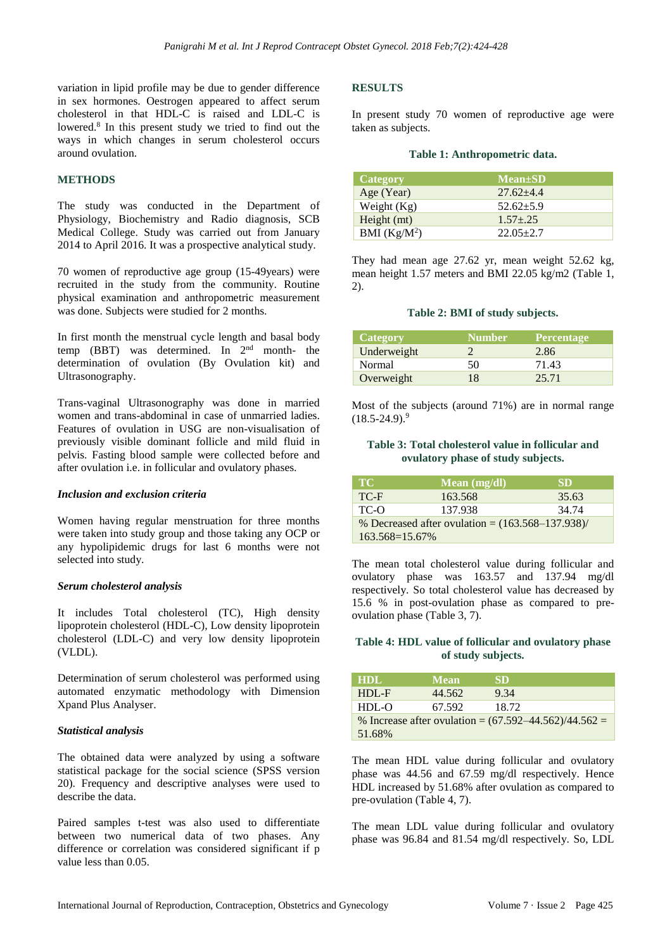variation in lipid profile may be due to gender difference in sex hormones. Oestrogen appeared to affect serum cholesterol in that HDL-C is raised and LDL-C is lowered.<sup>8</sup> In this present study we tried to find out the ways in which changes in serum cholesterol occurs around ovulation.

# **METHODS**

The study was conducted in the Department of Physiology, Biochemistry and Radio diagnosis, SCB Medical College. Study was carried out from January 2014 to April 2016. It was a prospective analytical study.

70 women of reproductive age group (15-49years) were recruited in the study from the community. Routine physical examination and anthropometric measurement was done. Subjects were studied for 2 months.

In first month the menstrual cycle length and basal body temp (BBT) was determined. In  $2<sup>nd</sup>$  month- the determination of ovulation (By Ovulation kit) and Ultrasonography.

Trans-vaginal Ultrasonography was done in married women and trans-abdominal in case of unmarried ladies. Features of ovulation in USG are non-visualisation of previously visible dominant follicle and mild fluid in pelvis. Fasting blood sample were collected before and after ovulation i.e. in follicular and ovulatory phases.

# *Inclusion and exclusion criteria*

Women having regular menstruation for three months were taken into study group and those taking any OCP or any hypolipidemic drugs for last 6 months were not selected into study.

#### *Serum cholesterol analysis*

It includes Total cholesterol (TC), High density lipoprotein cholesterol (HDL-C), Low density lipoprotein cholesterol (LDL-C) and very low density lipoprotein (VLDL).

Determination of serum cholesterol was performed using automated enzymatic methodology with Dimension Xpand Plus Analyser.

# *Statistical analysis*

The obtained data were analyzed by using a software statistical package for the social science (SPSS version 20). Frequency and descriptive analyses were used to describe the data.

Paired samples t-test was also used to differentiate between two numerical data of two phases. Any difference or correlation was considered significant if p value less than 0.05.

# **RESULTS**

In present study 70 women of reproductive age were taken as subjects.

#### **Table 1: Anthropometric data.**

| Category       | <b>Mean</b> ±SD |
|----------------|-----------------|
| Age (Year)     | $27.62 + 4.4$   |
| Weight $(Kg)$  | $52.62+5.9$     |
| Height (mt)    | $1.57 + 25$     |
| BMI $(Kg/M^2)$ | $22.05 + 2.7$   |

They had mean age 27.62 yr, mean weight 52.62 kg, mean height 1.57 meters and BMI 22.05 kg/m2 (Table 1, 2).

#### **Table 2: BMI of study subjects.**

| Category    | <b>Number</b> | <b>Percentage</b> |
|-------------|---------------|-------------------|
| Underweight |               | 2.86              |
| Normal      | 50            | 71.43             |
| Overweight  | 18            | 25.71             |

Most of the subjects (around 71%) are in normal range  $(18.5 - 24.9)$ .<sup>9</sup>

# **Table 3: Total cholesterol value in follicular and ovulatory phase of study subjects.**

| TC'                                                 | Mean $(mg/dl)$ | SD    |
|-----------------------------------------------------|----------------|-------|
| TC-F                                                | 163.568        | 35.63 |
| TC-O                                                | 137.938        | 34.74 |
| % Decreased after ovulation = $(163.568-137.938)$ / |                |       |
| 163.568=15.67%                                      |                |       |

The mean total cholesterol value during follicular and ovulatory phase was 163.57 and 137.94 mg/dl respectively. So total cholesterol value has decreased by 15.6 % in post-ovulation phase as compared to preovulation phase (Table 3, 7).

# **Table 4: HDL value of follicular and ovulatory phase of study subjects.**

| HDL.                                                      | <b>Mean</b> | <b>SD</b> |  |
|-----------------------------------------------------------|-------------|-----------|--|
| $HDL - F$                                                 | 44.562      | 9.34      |  |
| $HDL-O$                                                   | 67.592      | 18.72     |  |
| % Increase after ovulation = $(67.592 - 44.562)/44.562 =$ |             |           |  |
| 51.68%                                                    |             |           |  |

The mean HDL value during follicular and ovulatory phase was 44.56 and 67.59 mg/dl respectively. Hence HDL increased by 51.68% after ovulation as compared to pre-ovulation (Table 4, 7).

The mean LDL value during follicular and ovulatory phase was 96.84 and 81.54 mg/dl respectively. So, LDL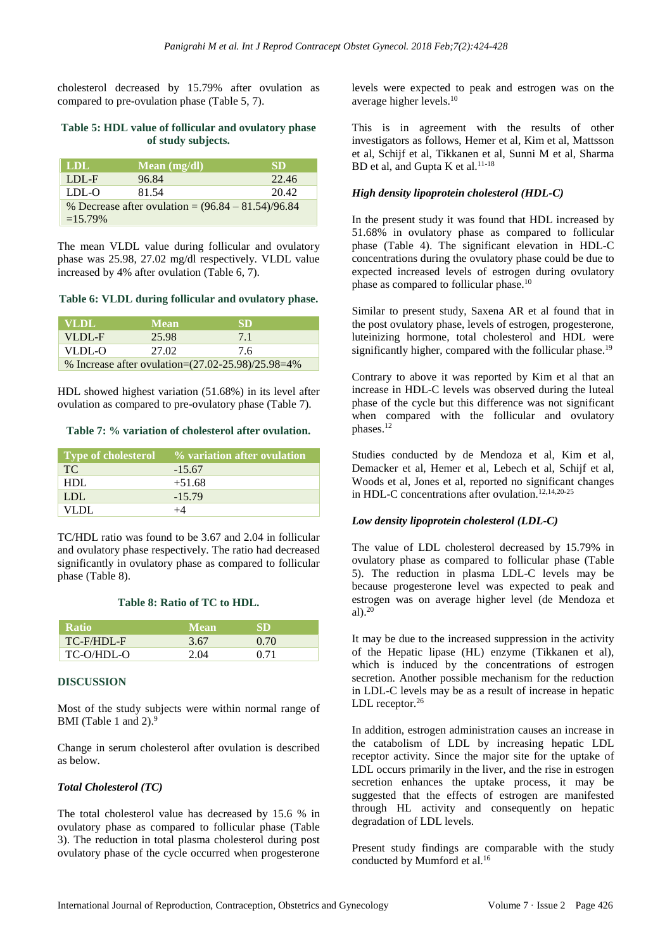cholesterol decreased by 15.79% after ovulation as compared to pre-ovulation phase (Table 5, 7).

#### **Table 5: HDL value of follicular and ovulatory phase of study subjects.**

| <b>LDL</b>                                           | Mean $(mg/dl)$ | <b>SD</b> |
|------------------------------------------------------|----------------|-----------|
| $LDL-F$                                              | 96.84          | 22.46     |
| LDL-O                                                | 81.54          | 20.42     |
| % Decrease after ovulation = $(96.84 - 81.54)/96.84$ |                |           |
| $=15.79\%$                                           |                |           |

The mean VLDL value during follicular and ovulatory phase was 25.98, 27.02 mg/dl respectively. VLDL value increased by 4% after ovulation (Table 6, 7).

#### **Table 6: VLDL during follicular and ovulatory phase.**

| <b>VLDL</b>                                               | <b>Mean</b> | <b>SD</b> |
|-----------------------------------------------------------|-------------|-----------|
| VLDL-F                                                    | 25.98       | 71        |
| $VLDL-O$                                                  | 27.02       | 76        |
| % Increase after ovulation= $(27.02 - 25.98)/25.98 = 4\%$ |             |           |

HDL showed highest variation (51.68%) in its level after ovulation as compared to pre-ovulatory phase (Table 7).

#### **Table 7: % variation of cholesterol after ovulation.**

| <b>Type of cholesterol</b> | % variation after ovulation |
|----------------------------|-----------------------------|
| TC.                        | $-15.67$                    |
| HDL                        | $+51.68$                    |
| LDL.                       | $-15.79$                    |
| VLDL.                      |                             |

TC/HDL ratio was found to be 3.67 and 2.04 in follicular and ovulatory phase respectively. The ratio had decreased significantly in ovulatory phase as compared to follicular phase (Table 8).

# **Table 8: Ratio of TC to HDL.**

| <b>Ratio</b> | <b>Mean</b> | SD   |
|--------------|-------------|------|
| TC-F/HDL-F   | 3.67        | 0.70 |
| TC-O/HDL-O   | 2.04        | 0.71 |

# **DISCUSSION**

Most of the study subjects were within normal range of BMI (Table 1 and 2).<sup>9</sup>

Change in serum cholesterol after ovulation is described as below.

# *Total Cholesterol (TC)*

The total cholesterol value has decreased by 15.6 % in ovulatory phase as compared to follicular phase (Table 3). The reduction in total plasma cholesterol during post ovulatory phase of the cycle occurred when progesterone

levels were expected to peak and estrogen was on the average higher levels. 10

This is in agreement with the results of other investigators as follows, Hemer et al, Kim et al, Mattsson et al, Schijf et al, Tikkanen et al, Sunni M et al, Sharma BD et al, and Gupta K et al. 11-18

# *High density lipoprotein cholesterol (HDL-C)*

In the present study it was found that HDL increased by 51.68% in ovulatory phase as compared to follicular phase (Table 4). The significant elevation in HDL-C concentrations during the ovulatory phase could be due to expected increased levels of estrogen during ovulatory phase as compared to follicular phase.<sup>10</sup>

Similar to present study, Saxena AR et al found that in the post ovulatory phase, levels of estrogen, progesterone, luteinizing hormone, total cholesterol and HDL were significantly higher, compared with the follicular phase.<sup>19</sup>

Contrary to above it was reported by Kim et al that an increase in HDL-C levels was observed during the luteal phase of the cycle but this difference was not significant when compared with the follicular and ovulatory phases.<sup>12</sup>

Studies conducted by de Mendoza et al, Kim et al, Demacker et al, Hemer et al, Lebech et al, Schijf et al, Woods et al, Jones et al, reported no significant changes in HDL-C concentrations after ovulation.<sup>12,14,20-25</sup>

# *Low density lipoprotein cholesterol (LDL-C)*

The value of LDL cholesterol decreased by 15.79% in ovulatory phase as compared to follicular phase (Table 5). The reduction in plasma LDL-C levels may be because progesterone level was expected to peak and estrogen was on average higher level (de Mendoza et al). $20$ 

It may be due to the increased suppression in the activity of the Hepatic lipase (HL) enzyme (Tikkanen et al), which is induced by the concentrations of estrogen secretion. Another possible mechanism for the reduction in LDL-C levels may be as a result of increase in hepatic LDL receptor.<sup>26</sup>

In addition, estrogen administration causes an increase in the catabolism of LDL by increasing hepatic LDL receptor activity. Since the major site for the uptake of LDL occurs primarily in the liver, and the rise in estrogen secretion enhances the uptake process, it may be suggested that the effects of estrogen are manifested through HL activity and consequently on hepatic degradation of LDL levels.

Present study findings are comparable with the study conducted by Mumford et al.<sup>16</sup>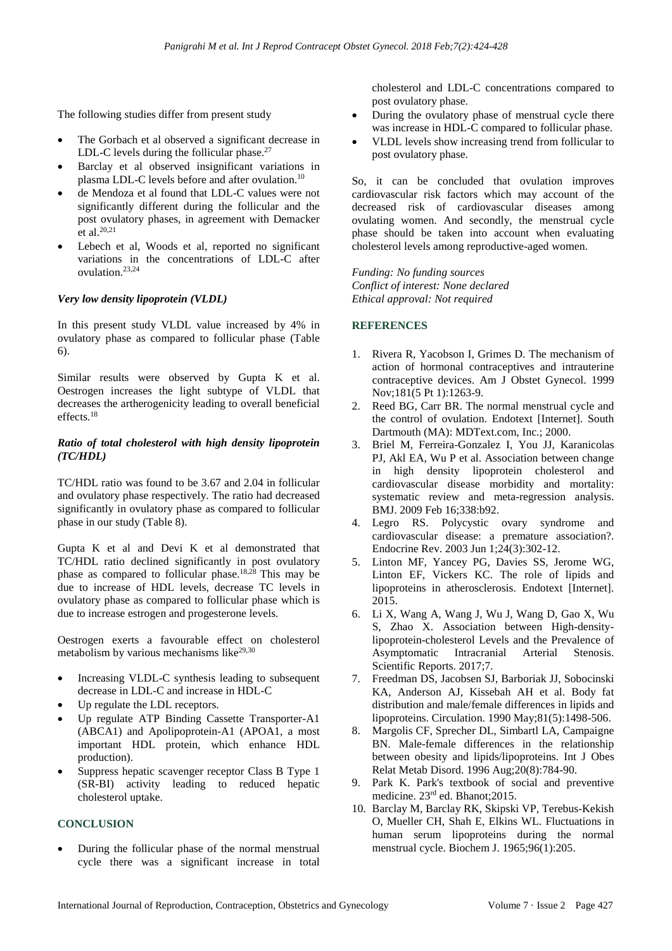The following studies differ from present study

- The Gorbach et al observed a significant decrease in LDL-C levels during the follicular phase. $27$
- Barclay et al observed insignificant variations in plasma LDL-C levels before and after ovulation.<sup>10</sup>
- de Mendoza et al found that LDL-C values were not significantly different during the follicular and the post ovulatory phases, in agreement with Demacker  $et$  al.<sup>20,21</sup>
- Lebech et al, Woods et al, reported no significant variations in the concentrations of LDL-C after ovulation.23,24

# *Very low density lipoprotein (VLDL)*

In this present study VLDL value increased by 4% in ovulatory phase as compared to follicular phase (Table 6).

Similar results were observed by Gupta K et al. Oestrogen increases the light subtype of VLDL that decreases the artherogenicity leading to overall beneficial effects.<sup>18</sup>

#### *Ratio of total cholesterol with high density lipoprotein (TC/HDL)*

TC/HDL ratio was found to be 3.67 and 2.04 in follicular and ovulatory phase respectively. The ratio had decreased significantly in ovulatory phase as compared to follicular phase in our study (Table 8).

Gupta K et al and Devi K et al demonstrated that TC/HDL ratio declined significantly in post ovulatory phase as compared to follicular phase.18,28 This may be due to increase of HDL levels, decrease TC levels in ovulatory phase as compared to follicular phase which is due to increase estrogen and progesterone levels.

Oestrogen exerts a favourable effect on cholesterol metabolism by various mechanisms like $^{29,30}$ 

- Increasing VLDL-C synthesis leading to subsequent decrease in LDL-C and increase in HDL-C
- Up regulate the LDL receptors.
- Up regulate ATP Binding Cassette Transporter-A1 (ABCA1) and Apolipoprotein-A1 (APOA1, a most important HDL protein, which enhance HDL production).
- Suppress hepatic scavenger receptor Class B Type 1 (SR-BI) activity leading to reduced hepatic cholesterol uptake.

# **CONCLUSION**

• During the follicular phase of the normal menstrual cycle there was a significant increase in total cholesterol and LDL-C concentrations compared to post ovulatory phase.

- During the ovulatory phase of menstrual cycle there was increase in HDL-C compared to follicular phase.
- VLDL levels show increasing trend from follicular to post ovulatory phase.

So, it can be concluded that ovulation improves cardiovascular risk factors which may account of the decreased risk of cardiovascular diseases among ovulating women. And secondly, the menstrual cycle phase should be taken into account when evaluating cholesterol levels among reproductive-aged women.

*Funding: No funding sources Conflict of interest: None declared Ethical approval: Not required*

# **REFERENCES**

- 1. Rivera R, Yacobson I, Grimes D. The mechanism of action of hormonal contraceptives and intrauterine contraceptive devices. Am J Obstet Gynecol. 1999 Nov;181(5 Pt 1):1263-9.
- 2. Reed BG, Carr BR. The normal menstrual cycle and the control of ovulation. Endotext [Internet]. South Dartmouth (MA): MDText.com, Inc.; 2000.
- 3. Briel M, Ferreira-Gonzalez I, You JJ, Karanicolas PJ, Akl EA, Wu P et al. Association between change in high density lipoprotein cholesterol and cardiovascular disease morbidity and mortality: systematic review and meta-regression analysis. BMJ. 2009 Feb 16;338:b92.
- 4. Legro RS. Polycystic ovary syndrome and cardiovascular disease: a premature association?. Endocrine Rev. 2003 Jun 1;24(3):302-12.
- 5. Linton MF, Yancey PG, Davies SS, Jerome WG, Linton EF, Vickers KC. The role of lipids and lipoproteins in atherosclerosis. Endotext [Internet]. 2015.
- 6. Li X, Wang A, Wang J, Wu J, Wang D, Gao X, Wu S, Zhao X. Association between High-densitylipoprotein-cholesterol Levels and the Prevalence of Asymptomatic Intracranial Arterial Stenosis. Scientific Reports. 2017;7.
- 7. Freedman DS, Jacobsen SJ, Barboriak JJ, Sobocinski KA, Anderson AJ, Kissebah AH et al. Body fat distribution and male/female differences in lipids and lipoproteins. Circulation. 1990 May;81(5):1498-506.
- 8. Margolis CF, Sprecher DL, Simbartl LA, Campaigne BN. Male-female differences in the relationship between obesity and lipids/lipoproteins. Int J Obes Relat Metab Disord. 1996 Aug;20(8):784-90.
- 9. Park K. Park's textbook of social and preventive medicine. 23rd ed. Bhanot;2015.
- 10. Barclay M, Barclay RK, Skipski VP, Terebus-Kekish O, Mueller CH, Shah E, Elkins WL. Fluctuations in human serum lipoproteins during the normal menstrual cycle. Biochem J. 1965;96(1):205.